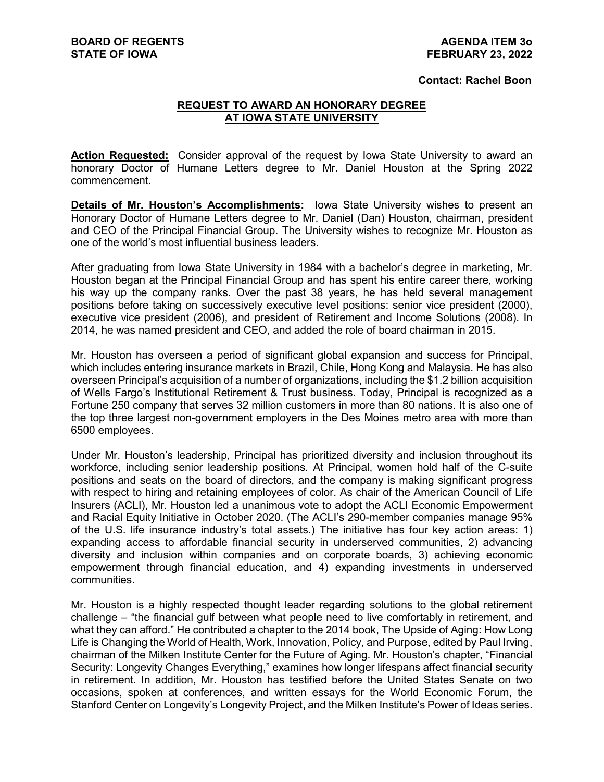## **Contact: Rachel Boon**

## **REQUEST TO AWARD AN HONORARY DEGREE AT IOWA STATE UNIVERSITY**

**Action Requested:** Consider approval of the request by Iowa State University to award an honorary Doctor of Humane Letters degree to Mr. Daniel Houston at the Spring 2022 commencement.

**Details of Mr. Houston's Accomplishments:** Iowa State University wishes to present an Honorary Doctor of Humane Letters degree to Mr. Daniel (Dan) Houston, chairman, president and CEO of the Principal Financial Group. The University wishes to recognize Mr. Houston as one of the world's most influential business leaders.

After graduating from Iowa State University in 1984 with a bachelor's degree in marketing, Mr. Houston began at the Principal Financial Group and has spent his entire career there, working his way up the company ranks. Over the past 38 years, he has held several management positions before taking on successively executive level positions: senior vice president (2000), executive vice president (2006), and president of Retirement and Income Solutions (2008). In 2014, he was named president and CEO, and added the role of board chairman in 2015.

Mr. Houston has overseen a period of significant global expansion and success for Principal, which includes entering insurance markets in Brazil, Chile, Hong Kong and Malaysia. He has also overseen Principal's acquisition of a number of organizations, including the \$1.2 billion acquisition of Wells Fargo's Institutional Retirement & Trust business. Today, Principal is recognized as a Fortune 250 company that serves 32 million customers in more than 80 nations. It is also one of the top three largest non-government employers in the Des Moines metro area with more than 6500 employees.

Under Mr. Houston's leadership, Principal has prioritized diversity and inclusion throughout its workforce, including senior leadership positions. At Principal, women hold half of the C-suite positions and seats on the board of directors, and the company is making significant progress with respect to hiring and retaining employees of color. As chair of the American Council of Life Insurers (ACLI), Mr. Houston led a unanimous vote to adopt the ACLI Economic Empowerment and Racial Equity Initiative in October 2020. (The ACLI's 290-member companies manage 95% of the U.S. life insurance industry's total assets.) The initiative has four key action areas: 1) expanding access to affordable financial security in underserved communities, 2) advancing diversity and inclusion within companies and on corporate boards, 3) achieving economic empowerment through financial education, and 4) expanding investments in underserved communities.

Mr. Houston is a highly respected thought leader regarding solutions to the global retirement challenge – "the financial gulf between what people need to live comfortably in retirement, and what they can afford." He contributed a chapter to the 2014 book, The Upside of Aging: How Long Life is Changing the World of Health, Work, Innovation, Policy, and Purpose, edited by Paul Irving, chairman of the Milken Institute Center for the Future of Aging. Mr. Houston's chapter, "Financial Security: Longevity Changes Everything," examines how longer lifespans affect financial security in retirement. In addition, Mr. Houston has testified before the United States Senate on two occasions, spoken at conferences, and written essays for the World Economic Forum, the Stanford Center on Longevity's Longevity Project, and the Milken Institute's Power of Ideas series.